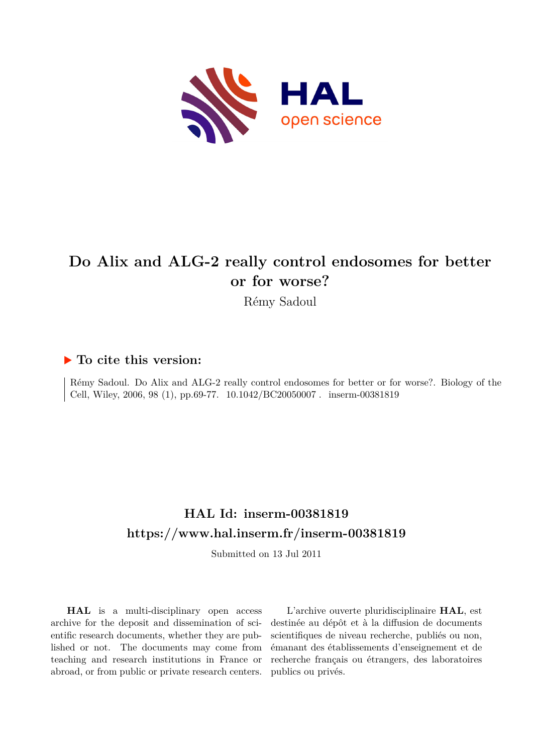

# **Do Alix and ALG-2 really control endosomes for better or for worse?**

Rémy Sadoul

### **To cite this version:**

Rémy Sadoul. Do Alix and ALG-2 really control endosomes for better or for worse?. Biology of the Cell, Wiley, 2006, 98 (1), pp.69-77. 10.1042/BC20050007. inserm-00381819

## **HAL Id: inserm-00381819 <https://www.hal.inserm.fr/inserm-00381819>**

Submitted on 13 Jul 2011

**HAL** is a multi-disciplinary open access archive for the deposit and dissemination of scientific research documents, whether they are published or not. The documents may come from teaching and research institutions in France or abroad, or from public or private research centers.

L'archive ouverte pluridisciplinaire **HAL**, est destinée au dépôt et à la diffusion de documents scientifiques de niveau recherche, publiés ou non, émanant des établissements d'enseignement et de recherche français ou étrangers, des laboratoires publics ou privés.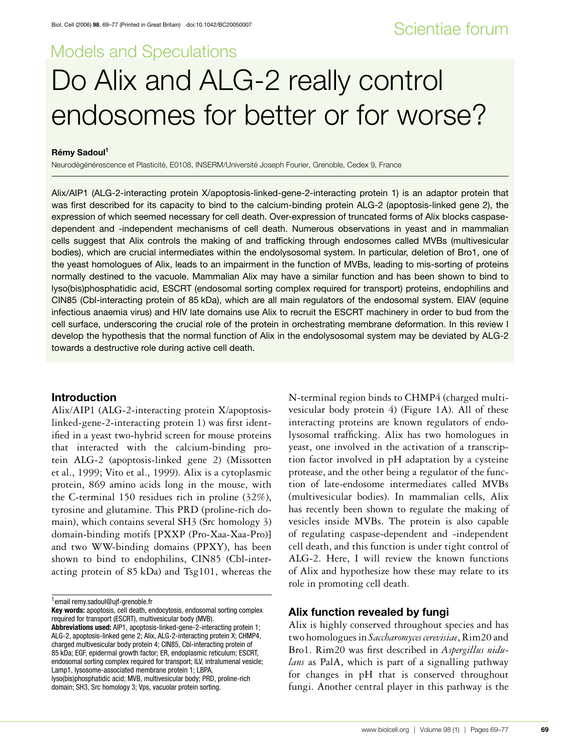# Models and Speculations Do Alix and ALG-2 really control endosomes for better or for worse?

#### **Remy Sadoul ´ <sup>1</sup>**

Neurodégénérescence et Plasticité, E0108, INSERM/Université Joseph Fourier, Grenoble, Cedex 9, France

Alix/AIP1 (ALG-2-interacting protein X/apoptosis-linked-gene-2-interacting protein 1) is an adaptor protein that was first described for its capacity to bind to the calcium-binding protein ALG-2 (apoptosis-linked gene 2), the expression of which seemed necessary for cell death. Over-expression of truncated forms of Alix blocks caspasedependent and -independent mechanisms of cell death. Numerous observations in yeast and in mammalian cells suggest that Alix controls the making of and trafficking through endosomes called MVBs (multivesicular bodies), which are crucial intermediates within the endolysosomal system. In particular, deletion of Bro1, one of the yeast homologues of Alix, leads to an impairment in the function of MVBs, leading to mis-sorting of proteins normally destined to the vacuole. Mammalian Alix may have a similar function and has been shown to bind to lyso(bis)phosphatidic acid, ESCRT (endosomal sorting complex required for transport) proteins, endophilins and CIN85 (Cbl-interacting protein of 85 kDa), which are all main regulators of the endosomal system. EIAV (equine infectious anaemia virus) and HIV late domains use Alix to recruit the ESCRT machinery in order to bud from the cell surface, underscoring the crucial role of the protein in orchestrating membrane deformation. In this review I develop the hypothesis that the normal function of Alix in the endolysosomal system may be deviated by ALG-2 towards a destructive role during active cell death.

#### **Introduction**

Alix/AIP1 (ALG-2-interacting protein X/apoptosislinked-gene-2-interacting protein 1) was first identified in a yeast two-hybrid screen for mouse proteins that interacted with the calcium-binding protein ALG-2 (apoptosis-linked gene 2) (Missotten et al., 1999; Vito et al., 1999). Alix is a cytoplasmic protein, 869 amino acids long in the mouse, with the C-terminal 150 residues rich in proline (32%), tyrosine and glutamine. This PRD (proline-rich domain), which contains several SH3 (Src homology 3) domain-binding motifs [PXXP (Pro-Xaa-Xaa-Pro)] and two WW-binding domains (PPXY), has been shown to bind to endophilins, CIN85 (Cbl-interacting protein of 85 kDa) and Tsg101, whereas the N-terminal region binds to CHMP4 (charged multivesicular body protein 4) (Figure 1A). All of these interacting proteins are known regulators of endolysosomal trafficking. Alix has two homologues in yeast, one involved in the activation of a transcription factor involved in pH adaptation by a cysteine protease, and the other being a regulator of the function of late-endosome intermediates called MVBs (multivesicular bodies). In mammalian cells, Alix has recently been shown to regulate the making of vesicles inside MVBs. The protein is also capable of regulating caspase-dependent and -independent cell death, and this function is under tight control of ALG-2. Here, I will review the known functions of Alix and hypothesize how these may relate to its role in promoting cell death.

#### **Alix function revealed by fungi**

Alix is highly conserved throughout species and has two homologues in *Saccharomyces cerevisiae*, Rim20 and Bro1. Rim20 was first described in *Aspergillus nidulans* as PalA, which is part of a signalling pathway for changes in pH that is conserved throughout fungi. Another central player in this pathway is the

<sup>1</sup>email remy.sadoul@ujf-grenoble.fr

**Key words:** apoptosis, cell death, endocytosis, endosomal sorting complex required for transport (ESCRT), multivesicular body (MVB). **Abbreviations used:** AIP1, apoptosis-linked-gene-2-interacting protein 1; ALG-2, apoptosis-linked gene 2; Alix, ALG-2-interacting protein X; CHMP4, charged multivesicular body protein 4; CIN85, Cbl-interacting protein of 85 kDa; EGF, epidermal growth factor; ER, endoplasmic reticulum; ESCRT, endosomal sorting complex required for transport; ILV, intralumenal vesicle; Lamp1, lysosome-associated membrane protein 1; LBPA, lyso(bis)phosphatidic acid; MVB, multivesicular body; PRD, proline-rich domain; SH3, Src homology 3; Vps, vacuolar protein sorting.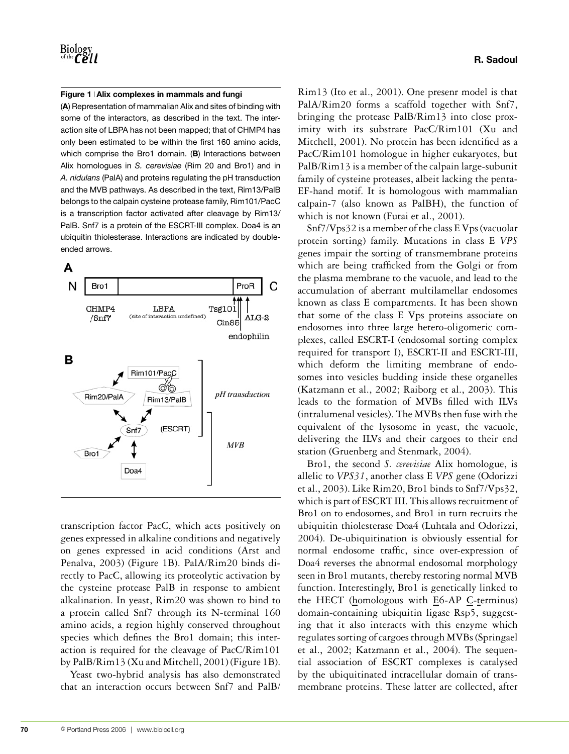#### **Figure 1 Alix complexes in mammals and fungi**

(**A**) Representation of mammalian Alix and sites of binding with some of the interactors, as described in the text. The interaction site of LBPA has not been mapped; that of CHMP4 has only been estimated to be within the first 160 amino acids, which comprise the Bro1 domain. (**B**) Interactions between Alix homologues in *S. cerevisiae* (Rim 20 and Bro1) and in *A. nidulans* (PalA) and proteins regulating the pH transduction and the MVB pathways. As described in the text, Rim13/PalB belongs to the calpain cysteine protease family, Rim101/PacC is a transcription factor activated after cleavage by Rim13/ PalB. Snf7 is a protein of the ESCRT-III complex. Doa4 is an ubiquitin thiolesterase. Interactions are indicated by doubleended arrows.



transcription factor PacC, which acts positively on genes expressed in alkaline conditions and negatively on genes expressed in acid conditions (Arst and Penalva, 2003) (Figure 1B). PalA/Rim20 binds directly to PacC, allowing its proteolytic activation by the cysteine protease PalB in response to ambient alkalination. In yeast, Rim20 was shown to bind to a protein called Snf7 through its N-terminal 160 amino acids, a region highly conserved throughout species which defines the Bro1 domain; this interaction is required for the cleavage of PacC/Rim101 by PalB/Rim13 (Xu and Mitchell, 2001) (Figure 1B).

Yeast two-hybrid analysis has also demonstrated that an interaction occurs between Snf7 and PalB/ Rim13 (Ito et al., 2001). One presenr model is that PalA/Rim20 forms a scaffold together with Snf7, bringing the protease PalB/Rim13 into close proximity with its substrate PacC/Rim101 (Xu and Mitchell, 2001). No protein has been identified as a PacC/Rim101 homologue in higher eukaryotes, but PalB/Rim13 is a member of the calpain large-subunit family of cysteine proteases, albeit lacking the penta-EF-hand motif. It is homologous with mammalian calpain-7 (also known as PalBH), the function of which is not known (Futai et al., 2001).

Snf7/Vps32 is a member of the class E Vps (vacuolar protein sorting) family. Mutations in class E *VPS* genes impair the sorting of transmembrane proteins which are being trafficked from the Golgi or from the plasma membrane to the vacuole, and lead to the accumulation of aberrant multilamellar endosomes known as class E compartments. It has been shown that some of the class E Vps proteins associate on endosomes into three large hetero-oligomeric complexes, called ESCRT-I (endosomal sorting complex required for transport I), ESCRT-II and ESCRT-III, which deform the limiting membrane of endosomes into vesicles budding inside these organelles (Katzmann et al., 2002; Raiborg et al., 2003). This leads to the formation of MVBs filled with ILVs (intralumenal vesicles). The MVBs then fuse with the equivalent of the lysosome in yeast, the vacuole, delivering the ILVs and their cargoes to their end station (Gruenberg and Stenmark, 2004).

Bro1, the second *S. cerevisiae* Alix homologue, is allelic to *VPS31*, another class E *VPS* gene (Odorizzi et al., 2003). Like Rim20, Bro1 binds to Snf7/Vps32, which is part of ESCRT III. This allows recruitment of Bro1 on to endosomes, and Bro1 in turn recruits the ubiquitin thiolesterase Doa4 (Luhtala and Odorizzi, 2004). De-ubiquitination is obviously essential for normal endosome traffic, since over-expression of Doa4 reverses the abnormal endosomal morphology seen in Bro1 mutants, thereby restoring normal MVB function. Interestingly, Bro1 is genetically linked to the HECT (homologous with E6-AP C-terminus) domain-containing ubiquitin ligase Rsp5, suggesting that it also interacts with this enzyme which regulates sorting of cargoes through MVBs (Springael et al., 2002; Katzmann et al., 2004). The sequential association of ESCRT complexes is catalysed by the ubiquitinated intracellular domain of transmembrane proteins. These latter are collected, after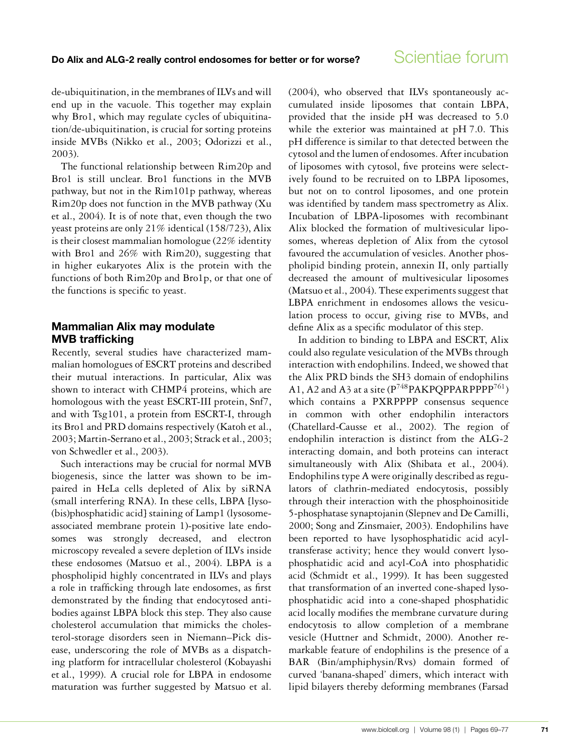de-ubiquitination, in the membranes of ILVs and will end up in the vacuole. This together may explain why Bro1, which may regulate cycles of ubiquitination/de-ubiquitination, is crucial for sorting proteins inside MVBs (Nikko et al., 2003; Odorizzi et al., 2003).

The functional relationship between Rim20p and Bro1 is still unclear. Bro1 functions in the MVB pathway, but not in the Rim101p pathway, whereas Rim20p does not function in the MVB pathway (Xu et al., 2004). It is of note that, even though the two yeast proteins are only 21% identical (158/723), Alix is their closest mammalian homologue (22% identity with Bro1 and 26% with Rim20), suggesting that in higher eukaryotes Alix is the protein with the functions of both Rim20p and Bro1p, or that one of the functions is specific to yeast.

#### **Mammalian Alix may modulate MVB trafficking**

Recently, several studies have characterized mammalian homologues of ESCRT proteins and described their mutual interactions. In particular, Alix was shown to interact with CHMP4 proteins, which are homologous with the yeast ESCRT-III protein, Snf7, and with Tsg101, a protein from ESCRT-I, through its Bro1 and PRD domains respectively (Katoh et al., 2003; Martin-Serrano et al., 2003; Strack et al., 2003; von Schwedler et al., 2003).

Such interactions may be crucial for normal MVB biogenesis, since the latter was shown to be impaired in HeLa cells depleted of Alix by siRNA (small interfering RNA). In these cells, LBPA [lyso- (bis)phosphatidic acid] staining of Lamp1 (lysosomeassociated membrane protein 1)-positive late endosomes was strongly decreased, and electron microscopy revealed a severe depletion of ILVs inside these endosomes (Matsuo et al., 2004). LBPA is a phospholipid highly concentrated in ILVs and plays a role in trafficking through late endosomes, as first demonstrated by the finding that endocytosed antibodies against LBPA block this step. They also cause cholesterol accumulation that mimicks the cholesterol-storage disorders seen in Niemann–Pick disease, underscoring the role of MVBs as a dispatching platform for intracellular cholesterol (Kobayashi et al., 1999). A crucial role for LBPA in endosome maturation was further suggested by Matsuo et al.

(2004), who observed that ILVs spontaneously accumulated inside liposomes that contain LBPA, provided that the inside pH was decreased to 5.0 while the exterior was maintained at pH 7.0. This pH difference is similar to that detected between the cytosol and the lumen of endosomes. After incubation of liposomes with cytosol, five proteins were selectively found to be recruited on to LBPA liposomes, but not on to control liposomes, and one protein was identified by tandem mass spectrometry as Alix. Incubation of LBPA-liposomes with recombinant Alix blocked the formation of multivesicular liposomes, whereas depletion of Alix from the cytosol favoured the accumulation of vesicles. Another phospholipid binding protein, annexin II, only partially decreased the amount of multivesicular liposomes (Matsuo et al., 2004). These experiments suggest that LBPA enrichment in endosomes allows the vesiculation process to occur, giving rise to MVBs, and define Alix as a specific modulator of this step.

In addition to binding to LBPA and ESCRT, Alix could also regulate vesiculation of the MVBs through interaction with endophilins. Indeed, we showed that the Alix PRD binds the SH3 domain of endophilins A1, A2 and A3 at a site ( $P^{748}PAKPOPPARPPPP^{761}$ ) which contains a PXRPPPP consensus sequence in common with other endophilin interactors (Chatellard-Causse et al., 2002). The region of endophilin interaction is distinct from the ALG-2 interacting domain, and both proteins can interact simultaneously with Alix (Shibata et al., 2004). Endophilins type A were originally described as regulators of clathrin-mediated endocytosis, possibly through their interaction with the phosphoinositide 5-phosphatase synaptojanin (Slepnev and De Camilli, 2000; Song and Zinsmaier, 2003). Endophilins have been reported to have lysophosphatidic acid acyltransferase activity; hence they would convert lysophosphatidic acid and acyl-CoA into phosphatidic acid (Schmidt et al., 1999). It has been suggested that transformation of an inverted cone-shaped lysophosphatidic acid into a cone-shaped phosphatidic acid locally modifies the membrane curvature during endocytosis to allow completion of a membrane vesicle (Huttner and Schmidt, 2000). Another remarkable feature of endophilins is the presence of a BAR (Bin/amphiphysin/Rvs) domain formed of curved 'banana-shaped' dimers, which interact with lipid bilayers thereby deforming membranes (Farsad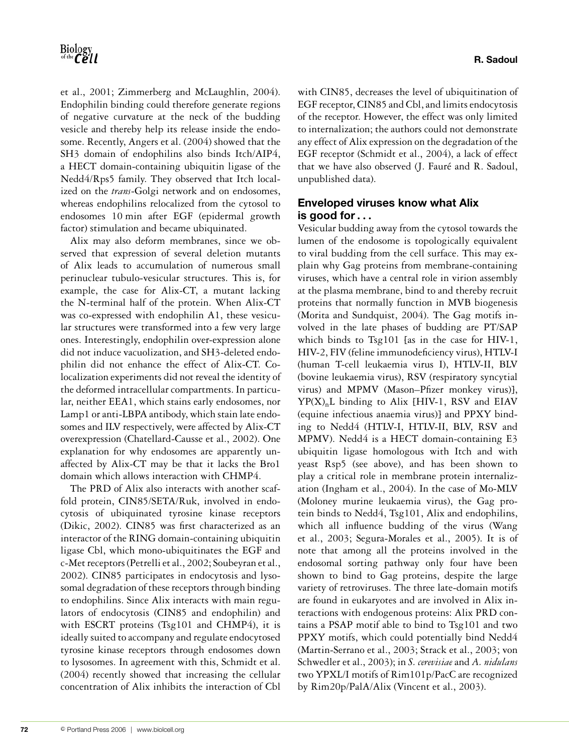et al., 2001; Zimmerberg and McLaughlin, 2004). Endophilin binding could therefore generate regions of negative curvature at the neck of the budding vesicle and thereby help its release inside the endosome. Recently, Angers et al. (2004) showed that the SH3 domain of endophilins also binds Itch/AIP4, a HECT domain-containing ubiquitin ligase of the Nedd4/Rps5 family. They observed that Itch localized on the *trans*-Golgi network and on endosomes, whereas endophilins relocalized from the cytosol to endosomes 10 min after EGF (epidermal growth factor) stimulation and became ubiquinated.

Alix may also deform membranes, since we observed that expression of several deletion mutants of Alix leads to accumulation of numerous small perinuclear tubulo-vesicular structures. This is, for example, the case for Alix-CT, a mutant lacking the N-terminal half of the protein. When Alix-CT was co-expressed with endophilin A1, these vesicular structures were transformed into a few very large ones. Interestingly, endophilin over-expression alone did not induce vacuolization, and SH3-deleted endophilin did not enhance the effect of Alix-CT. Colocalization experiments did not reveal the identity of the deformed intracellular compartments. In particular, neither EEA1, which stains early endosomes, nor Lamp1 or anti-LBPA antibody, which stain late endosomes and ILV respectively, were affected by Alix-CT overexpression (Chatellard-Causse et al., 2002). One explanation for why endosomes are apparently unaffected by Alix-CT may be that it lacks the Bro1 domain which allows interaction with CHMP4.

The PRD of Alix also interacts with another scaffold protein, CIN85/SETA/Ruk, involved in endocytosis of ubiquinated tyrosine kinase receptors (Dikic, 2002). CIN85 was first characterized as an interactor of the RING domain-containing ubiquitin ligase Cbl, which mono-ubiquitinates the EGF and c-Met receptors (Petrelli et al., 2002; Soubeyran et al., 2002). CIN85 participates in endocytosis and lysosomal degradation of these receptors through binding to endophilins. Since Alix interacts with main regulators of endocytosis (CIN85 and endophilin) and with ESCRT proteins (Tsg101 and CHMP4), it is ideally suited to accompany and regulate endocytosed tyrosine kinase receptors through endosomes down to lysosomes. In agreement with this, Schmidt et al. (2004) recently showed that increasing the cellular concentration of Alix inhibits the interaction of Cbl

with CIN85, decreases the level of ubiquitination of EGF receptor, CIN85 and Cbl, and limits endocytosis of the receptor. However, the effect was only limited to internalization; the authors could not demonstrate any effect of Alix expression on the degradation of the EGF receptor (Schmidt et al., 2004), a lack of effect that we have also observed (J. Fauré and R. Sadoul, unpublished data).

#### **Enveloped viruses know what Alix is good for***...*

Vesicular budding away from the cytosol towards the lumen of the endosome is topologically equivalent to viral budding from the cell surface. This may explain why Gag proteins from membrane-containing viruses, which have a central role in virion assembly at the plasma membrane, bind to and thereby recruit proteins that normally function in MVB biogenesis (Morita and Sundquist, 2004). The Gag motifs involved in the late phases of budding are PT/SAP which binds to Tsg101 [as in the case for HIV-1, HIV-2, FIV (feline immunodeficiency virus), HTLV-I (human T-cell leukaemia virus I), HTLV-II, BLV (bovine leukaemia virus), RSV (respiratory syncytial virus) and MPMV (Mason–Pfizer monkey virus)],  $YP(X)_nL$  binding to Alix {HIV-1, RSV and EIAV (equine infectious anaemia virus)] and PPXY binding to Nedd4 (HTLV-I, HTLV-II, BLV, RSV and MPMV). Nedd4 is a HECT domain-containing E3 ubiquitin ligase homologous with Itch and with yeast Rsp5 (see above), and has been shown to play a critical role in membrane protein internalization (Ingham et al., 2004). In the case of Mo-MLV (Moloney murine leukaemia virus), the Gag protein binds to Nedd4, Tsg101, Alix and endophilins, which all influence budding of the virus (Wang et al., 2003; Segura-Morales et al., 2005). It is of note that among all the proteins involved in the endosomal sorting pathway only four have been shown to bind to Gag proteins, despite the large variety of retroviruses. The three late-domain motifs are found in eukaryotes and are involved in Alix interactions with endogenous proteins: Alix PRD contains a PSAP motif able to bind to Tsg101 and two PPXY motifs, which could potentially bind Nedd4 (Martin-Serrano et al., 2003; Strack et al., 2003; von Schwedler et al., 2003); in *S. cerevisiae* and *A. nidulans* two YPXL/I motifs of Rim101p/PacC are recognized by Rim20p/PalA/Alix (Vincent et al., 2003).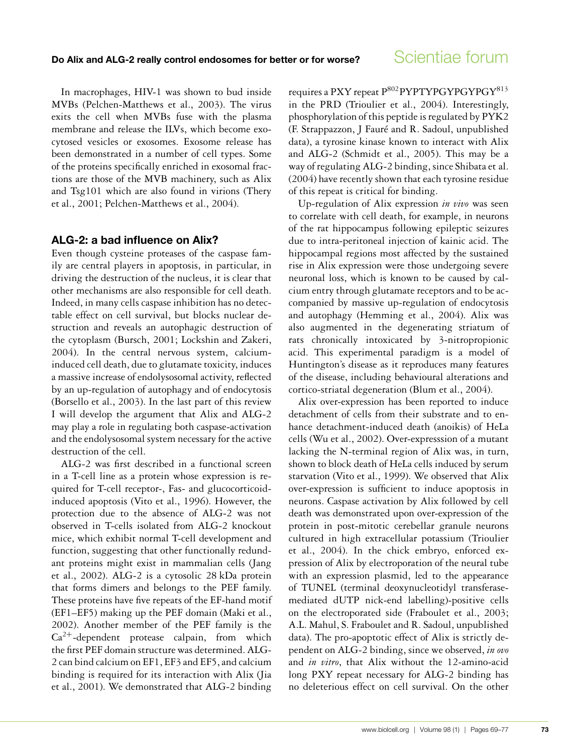In macrophages, HIV-1 was shown to bud inside MVBs (Pelchen-Matthews et al., 2003). The virus exits the cell when MVBs fuse with the plasma membrane and release the ILVs, which become exocytosed vesicles or exosomes. Exosome release has been demonstrated in a number of cell types. Some of the proteins specifically enriched in exosomal fractions are those of the MVB machinery, such as Alix and Tsg101 which are also found in virions (Thery et al., 2001; Pelchen-Matthews et al., 2004).

#### **ALG-2: a bad influence on Alix?**

Even though cysteine proteases of the caspase family are central players in apoptosis, in particular, in driving the destruction of the nucleus, it is clear that other mechanisms are also responsible for cell death. Indeed, in many cells caspase inhibition has no detectable effect on cell survival, but blocks nuclear destruction and reveals an autophagic destruction of the cytoplasm (Bursch, 2001; Lockshin and Zakeri, 2004). In the central nervous system, calciuminduced cell death, due to glutamate toxicity, induces a massive increase of endolysosomal activity, reflected by an up-regulation of autophagy and of endocytosis (Borsello et al., 2003). In the last part of this review I will develop the argument that Alix and ALG-2 may play a role in regulating both caspase-activation and the endolysosomal system necessary for the active destruction of the cell.

ALG-2 was first described in a functional screen in a T-cell line as a protein whose expression is required for T-cell receptor-, Fas- and glucocorticoidinduced apoptosis (Vito et al., 1996). However, the protection due to the absence of ALG-2 was not observed in T-cells isolated from ALG-2 knockout mice, which exhibit normal T-cell development and function, suggesting that other functionally redundant proteins might exist in mammalian cells (Jang et al., 2002). ALG-2 is a cytosolic 28 kDa protein that forms dimers and belongs to the PEF family. These proteins have five repeats of the EF-hand motif (EF1–EF5) making up the PEF domain (Maki et al., 2002). Another member of the PEF family is the  $Ca^{2+}$ -dependent protease calpain, from which the first PEF domain structure was determined. ALG-2 can bind calcium on EF1, EF3 and EF5, and calcium binding is required for its interaction with Alix (Jia et al., 2001). We demonstrated that ALG-2 binding

requires a PXY repeat P<sup>802</sup>PYPTYPGYPGYPGY<sup>813</sup> in the PRD (Trioulier et al., 2004). Interestingly, phosphorylation of this peptide is regulated by PYK2 (F. Strappazzon, J Fauré and R. Sadoul, unpublished data), a tyrosine kinase known to interact with Alix and ALG-2 (Schmidt et al., 2005). This may be a way of regulating ALG-2 binding, since Shibata et al. (2004) have recently shown that each tyrosine residue of this repeat is critical for binding.

Up-regulation of Alix expression *in vivo* was seen to correlate with cell death, for example, in neurons of the rat hippocampus following epileptic seizures due to intra-peritoneal injection of kainic acid. The hippocampal regions most affected by the sustained rise in Alix expression were those undergoing severe neuronal loss, which is known to be caused by calcium entry through glutamate receptors and to be accompanied by massive up-regulation of endocytosis and autophagy (Hemming et al., 2004). Alix was also augmented in the degenerating striatum of rats chronically intoxicated by 3-nitropropionic acid. This experimental paradigm is a model of Huntington's disease as it reproduces many features of the disease, including behavioural alterations and cortico-striatal degeneration (Blum et al., 2004).

Alix over-expression has been reported to induce detachment of cells from their substrate and to enhance detachment-induced death (anoikis) of HeLa cells (Wu et al., 2002). Over-expresssion of a mutant lacking the N-terminal region of Alix was, in turn, shown to block death of HeLa cells induced by serum starvation (Vito et al., 1999). We observed that Alix over-expression is sufficient to induce apoptosis in neurons. Caspase activation by Alix followed by cell death was demonstrated upon over-expression of the protein in post-mitotic cerebellar granule neurons cultured in high extracellular potassium (Trioulier et al., 2004). In the chick embryo, enforced expression of Alix by electroporation of the neural tube with an expression plasmid, led to the appearance of TUNEL (terminal deoxynucleotidyl transferasemediated dUTP nick-end labelling)-positive cells on the electroporated side (Fraboulet et al., 2003; A.L. Mahul, S. Fraboulet and R. Sadoul, unpublished data). The pro-apoptotic effect of Alix is strictly dependent on ALG-2 binding, since we observed, *in ovo* and *in vitro*, that Alix without the 12-amino-acid long PXY repeat necessary for ALG-2 binding has no deleterious effect on cell survival. On the other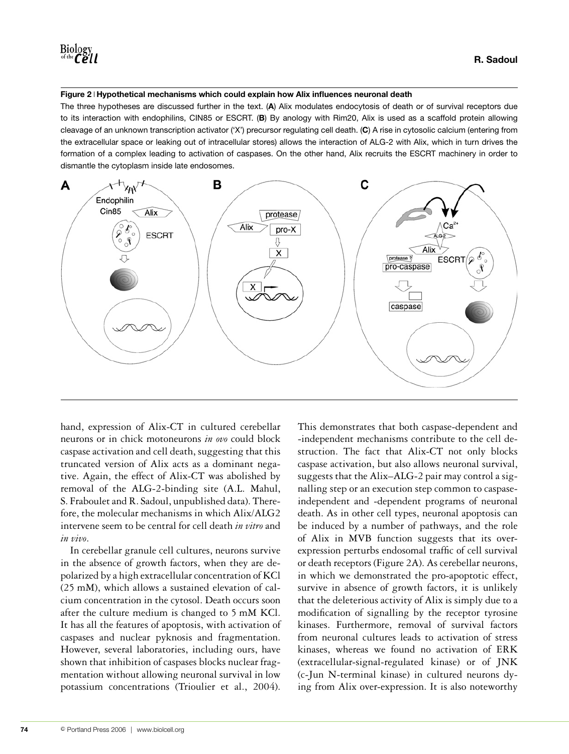#### **Figure 2 Hypothetical mechanisms which could explain how Alix influences neuronal death**

The three hypotheses are discussed further in the text. (**A**) Alix modulates endocytosis of death or of survival receptors due to its interaction with endophilins, CIN85 or ESCRT. (**B**) By anology with Rim20, Alix is used as a scaffold protein allowing cleavage of an unknown transcription activator ('X') precursor regulating cell death. (**C**) A rise in cytosolic calcium (entering from the extracellular space or leaking out of intracellular stores) allows the interaction of ALG-2 with Alix, which in turn drives the formation of a complex leading to activation of caspases. On the other hand, Alix recruits the ESCRT machinery in order to dismantle the cytoplasm inside late endosomes.



hand, expression of Alix-CT in cultured cerebellar neurons or in chick motoneurons *in ovo* could block caspase activation and cell death, suggesting that this truncated version of Alix acts as a dominant negative. Again, the effect of Alix-CT was abolished by removal of the ALG-2-binding site (A.L. Mahul, S. Fraboulet and R. Sadoul, unpublished data). Therefore, the molecular mechanisms in which Alix/ALG2 intervene seem to be central for cell death *in vitro* and *in vivo*.

In cerebellar granule cell cultures, neurons survive in the absence of growth factors, when they are depolarized by a high extracellular concentration of KCl (25 mM), which allows a sustained elevation of calcium concentration in the cytosol. Death occurs soon after the culture medium is changed to 5 mM KCl. It has all the features of apoptosis, with activation of caspases and nuclear pyknosis and fragmentation. However, several laboratories, including ours, have shown that inhibition of caspases blocks nuclear fragmentation without allowing neuronal survival in low potassium concentrations (Trioulier et al., 2004).

This demonstrates that both caspase-dependent and -independent mechanisms contribute to the cell destruction. The fact that Alix-CT not only blocks caspase activation, but also allows neuronal survival, suggests that the Alix–ALG-2 pair may control a signalling step or an execution step common to caspaseindependent and -dependent programs of neuronal death. As in other cell types, neuronal apoptosis can be induced by a number of pathways, and the role of Alix in MVB function suggests that its overexpression perturbs endosomal traffic of cell survival or death receptors (Figure 2A). As cerebellar neurons, in which we demonstrated the pro-apoptotic effect, survive in absence of growth factors, it is unlikely that the deleterious activity of Alix is simply due to a modification of signalling by the receptor tyrosine kinases. Furthermore, removal of survival factors from neuronal cultures leads to activation of stress kinases, whereas we found no activation of ERK (extracellular-signal-regulated kinase) or of JNK (c-Jun N-terminal kinase) in cultured neurons dying from Alix over-expression. It is also noteworthy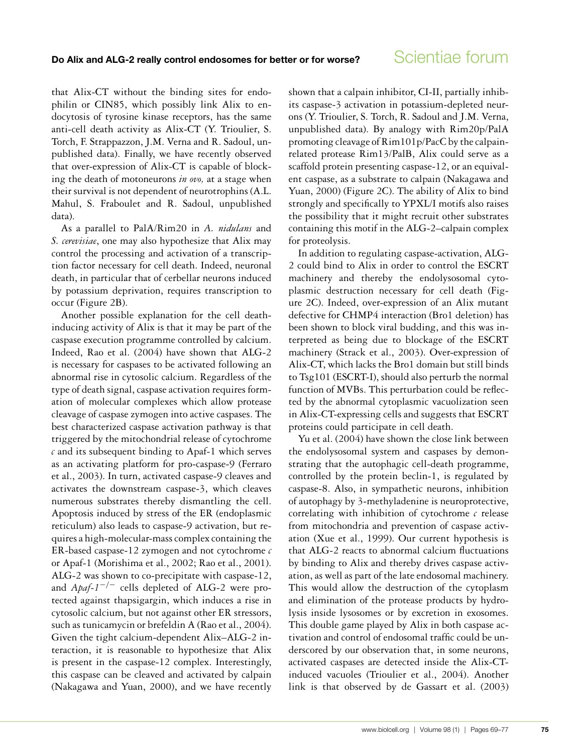that Alix-CT without the binding sites for endophilin or CIN85, which possibly link Alix to endocytosis of tyrosine kinase receptors, has the same anti-cell death activity as Alix-CT (Y. Trioulier, S. Torch, F. Strappazzon, J.M. Verna and R. Sadoul, unpublished data). Finally, we have recently observed that over-expression of Alix-CT is capable of blocking the death of motoneurons *in ovo,* at a stage when their survival is not dependent of neurotrophins (A.L. Mahul, S. Fraboulet and R. Sadoul, unpublished data).

As a parallel to PalA/Rim20 in *A. nidulans* and *S. cerevisiae*, one may also hypothesize that Alix may control the processing and activation of a transcription factor necessary for cell death. Indeed, neuronal death, in particular that of cerbellar neurons induced by potassium deprivation, requires transcription to occur (Figure 2B).

Another possible explanation for the cell deathinducing activity of Alix is that it may be part of the caspase execution programme controlled by calcium. Indeed, Rao et al. (2004) have shown that ALG-2 is necessary for caspases to be activated following an abnormal rise in cytosolic calcium. Regardless of the type of death signal, caspase activation requires formation of molecular complexes which allow protease cleavage of caspase zymogen into active caspases. The best characterized caspase activation pathway is that triggered by the mitochondrial release of cytochrome *c* and its subsequent binding to Apaf-1 which serves as an activating platform for pro-caspase-9 (Ferraro et al., 2003). In turn, activated caspase-9 cleaves and activates the downstream caspase-3, which cleaves numerous substrates thereby dismantling the cell. Apoptosis induced by stress of the ER (endoplasmic reticulum) also leads to caspase-9 activation, but requires a high-molecular-mass complex containing the ER-based caspase-12 zymogen and not cytochrome *c* or Apaf-1 (Morishima et al., 2002; Rao et al., 2001). ALG-2 was shown to co-precipitate with caspase-12, and *Apaf-1*−/<sup>−</sup> cells depleted of ALG-2 were protected against thapsigargin, which induces a rise in cytosolic calcium, but not against other ER stressors, such as tunicamycin or brefeldin A (Rao et al., 2004). Given the tight calcium-dependent Alix–ALG-2 interaction, it is reasonable to hypothesize that Alix is present in the caspase-12 complex. Interestingly, this caspase can be cleaved and activated by calpain (Nakagawa and Yuan, 2000), and we have recently shown that a calpain inhibitor, CI-II, partially inhibits caspase-3 activation in potassium-depleted neurons (Y. Trioulier, S. Torch, R. Sadoul and J.M. Verna, unpublished data). By analogy with Rim20p/PalA promoting cleavage of Rim101p/PacC by the calpainrelated protease Rim13/PalB, Alix could serve as a scaffold protein presenting caspase-12, or an equivalent caspase, as a substrate to calpain (Nakagawa and Yuan, 2000) (Figure 2C). The ability of Alix to bind strongly and specifically to YPXL/I motifs also raises the possibility that it might recruit other substrates containing this motif in the ALG-2–calpain complex for proteolysis.

In addition to regulating caspase-activation, ALG-2 could bind to Alix in order to control the ESCRT machinery and thereby the endolysosomal cytoplasmic destruction necessary for cell death (Figure 2C). Indeed, over-expression of an Alix mutant defective for CHMP4 interaction (Bro1 deletion) has been shown to block viral budding, and this was interpreted as being due to blockage of the ESCRT machinery (Strack et al., 2003). Over-expression of Alix-CT, which lacks the Bro1 domain but still binds to Tsg101 (ESCRT-I), should also perturb the normal function of MVBs. This perturbation could be reflected by the abnormal cytoplasmic vacuolization seen in Alix-CT-expressing cells and suggests that ESCRT proteins could participate in cell death.

Yu et al. (2004) have shown the close link between the endolysosomal system and caspases by demonstrating that the autophagic cell-death programme, controlled by the protein beclin-1, is regulated by caspase-8. Also, in sympathetic neurons, inhibition of autophagy by 3-methyladenine is neuroprotective, correlating with inhibition of cytochrome *c* release from mitochondria and prevention of caspase activation (Xue et al., 1999). Our current hypothesis is that ALG-2 reacts to abnormal calcium fluctuations by binding to Alix and thereby drives caspase activation, as well as part of the late endosomal machinery. This would allow the destruction of the cytoplasm and elimination of the protease products by hydrolysis inside lysosomes or by excretion in exosomes. This double game played by Alix in both caspase activation and control of endosomal traffic could be underscored by our observation that, in some neurons, activated caspases are detected inside the Alix-CTinduced vacuoles (Trioulier et al., 2004). Another link is that observed by de Gassart et al. (2003)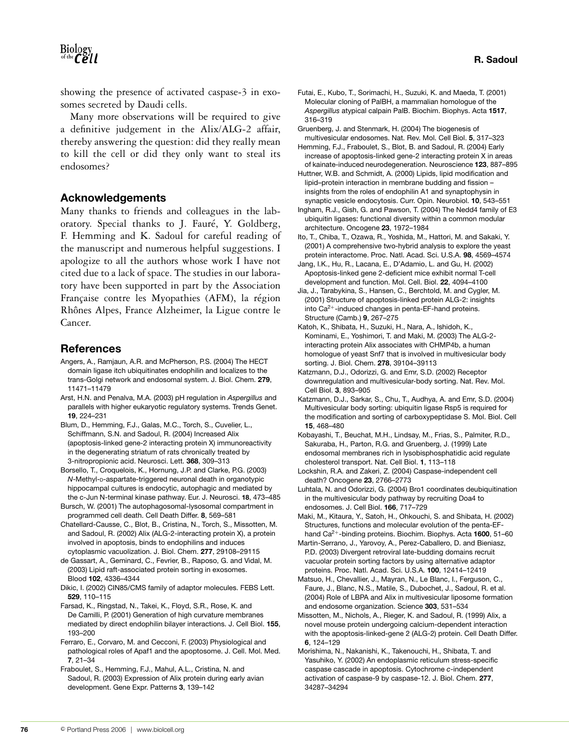**R. Sadoul**

showing the presence of activated caspase-3 in exosomes secreted by Daudi cells.

Many more observations will be required to give a definitive judgement in the Alix/ALG-2 affair, thereby answering the question: did they really mean to kill the cell or did they only want to steal its endosomes?

#### **Acknowledgements**

Many thanks to friends and colleagues in the laboratory. Special thanks to J. Fauré, Y. Goldberg, F. Hemming and K. Sadoul for careful reading of the manuscript and numerous helpful suggestions. I apologize to all the authors whose work I have not cited due to a lack of space. The studies in our laboratory have been supported in part by the Association Française contre les Myopathies (AFM), la région Rhônes Alpes, France Alzheimer, la Ligue contre le Cancer.

#### **References**

- Angers, A., Ramjaun, A.R. and McPherson, P.S. (2004) The HECT domain ligase itch ubiquitinates endophilin and localizes to the trans-Golgi network and endosomal system. J. Biol. Chem. **279**, 11471–11479
- Arst, H.N. and Penalva, M.A. (2003) pH regulation in *Aspergillus* and parallels with higher eukaryotic regulatory systems. Trends Genet. **19**, 224–231
- Blum, D., Hemming, F.J., Galas, M.C., Torch, S., Cuvelier, L., Schiffmann, S.N. and Sadoul, R. (2004) Increased Alix (apoptosis-linked gene-2 interacting protein X) immunoreactivity in the degenerating striatum of rats chronically treated by 3-nitropropionic acid. Neurosci. Lett. **368**, 309–313
- Borsello, T., Croquelois, K., Hornung, J.P. and Clarke, P.G. (2003) *N*-Methyl-D-aspartate-triggered neuronal death in organotypic hippocampal cultures is endocytic, autophagic and mediated by the c-Jun N-terminal kinase pathway. Eur. J. Neurosci. **18**, 473–485
- Bursch, W. (2001) The autophagosomal-lysosomal compartment in programmed cell death. Cell Death Differ. **8**, 569–581
- Chatellard-Causse, C., Blot, B., Cristina, N., Torch, S., Missotten, M. and Sadoul, R. (2002) Alix (ALG-2-interacting protein X), a protein involved in apoptosis, binds to endophilins and induces cytoplasmic vacuolization. J. Biol. Chem. **277**, 29108–29115
- de Gassart, A., Geminard, C., Fevrier, B., Raposo, G. and Vidal, M. (2003) Lipid raft-associated protein sorting in exosomes. Blood **102**, 4336–4344
- Dikic, I. (2002) CIN85/CMS family of adaptor molecules. FEBS Lett. **529**, 110–115
- Farsad, K., Ringstad, N., Takei, K., Floyd, S.R., Rose, K. and De Camilli, P. (2001) Generation of high curvature membranes mediated by direct endophilin bilayer interactions. J. Cell Biol. **155**, 193–200
- Ferraro, E., Corvaro, M. and Cecconi, F. (2003) Physiological and pathological roles of Apaf1 and the apoptosome. J. Cell. Mol. Med. **7**, 21–34
- Fraboulet, S., Hemming, F.J., Mahul, A.L., Cristina, N. and Sadoul, R. (2003) Expression of Alix protein during early avian development. Gene Expr. Patterns **3**, 139–142
- Futai, E., Kubo, T., Sorimachi, H., Suzuki, K. and Maeda, T. (2001) Molecular cloning of PalBH, a mammalian homologue of the *Aspergillus* atypical calpain PalB. Biochim. Biophys. Acta **1517**, 316–319
- Gruenberg, J. and Stenmark, H. (2004) The biogenesis of multivesicular endosomes. Nat. Rev. Mol. Cell Biol. **5**, 317–323
- Hemming, F.J., Fraboulet, S., Blot, B. and Sadoul, R. (2004) Early increase of apoptosis-linked gene-2 interacting protein X in areas of kainate-induced neurodegeneration. Neuroscience **123**, 887–895
- Huttner, W.B. and Schmidt, A. (2000) Lipids, lipid modification and lipid–protein interaction in membrane budding and fission – insights from the roles of endophilin A1 and synaptophysin in synaptic vesicle endocytosis. Curr. Opin. Neurobiol. **10**, 543–551
- Ingham, R.J., Gish, G. and Pawson, T. (2004) The Nedd4 family of E3 ubiquitin ligases: functional diversity within a common modular architecture. Oncogene **23**, 1972–1984
- Ito, T., Chiba, T., Ozawa, R., Yoshida, M., Hattori, M. and Sakaki, Y. (2001) A comprehensive two-hybrid analysis to explore the yeast protein interactome. Proc. Natl. Acad. Sci. U.S.A. **98**, 4569–4574
- Jang, I.K., Hu, R., Lacana, E., D'Adamio, L. and Gu, H. (2002) Apoptosis-linked gene 2-deficient mice exhibit normal T-cell development and function. Mol. Cell. Biol. **22**, 4094–4100
- Jia, J., Tarabykina, S., Hansen, C., Berchtold, M. and Cygler, M. (2001) Structure of apoptosis-linked protein ALG-2: insights into  $Ca<sup>2+</sup>$ -induced changes in penta-EF-hand proteins. Structure (Camb.) **9**, 267–275
- Katoh, K., Shibata, H., Suzuki, H., Nara, A., Ishidoh, K., Kominami, E., Yoshimori, T. and Maki, M. (2003) The ALG-2 interacting protein Alix associates with CHMP4b, a human homologue of yeast Snf7 that is involved in multivesicular body sorting. J. Biol. Chem. **278**, 39104–39113
- Katzmann, D.J., Odorizzi, G. and Emr, S.D. (2002) Receptor downregulation and multivesicular-body sorting. Nat. Rev. Mol. Cell Biol. **3**, 893–905
- Katzmann, D.J., Sarkar, S., Chu, T., Audhya, A. and Emr, S.D. (2004) Multivesicular body sorting: ubiquitin ligase Rsp5 is required for the modification and sorting of carboxypeptidase S. Mol. Biol. Cell **15**, 468–480
- Kobayashi, T., Beuchat, M.H., Lindsay, M., Frias, S., Palmiter, R.D., Sakuraba, H., Parton, R.G. and Gruenberg, J. (1999) Late endosomal membranes rich in lysobisphosphatidic acid regulate cholesterol transport. Nat. Cell Biol. **1**, 113–118
- Lockshin, R.A. and Zakeri, Z. (2004) Caspase-independent cell death? Oncogene **23**, 2766–2773
- Luhtala, N. and Odorizzi, G. (2004) Bro1 coordinates deubiquitination in the multivesicular body pathway by recruiting Doa4 to endosomes. J. Cell Biol. **166**, 717–729
- Maki, M., Kitaura, Y., Satoh, H., Ohkouchi, S. and Shibata, H. (2002) Structures, functions and molecular evolution of the penta-EFhand Ca<sup>2</sup>+-binding proteins. Biochim. Biophys. Acta **1600**, 51–60
- Martin-Serrano, J., Yarovoy, A., Perez-Caballero, D. and Bieniasz, P.D. (2003) Divergent retroviral late-budding domains recruit vacuolar protein sorting factors by using alternative adaptor proteins. Proc. Natl. Acad. Sci. U.S.A. **100**, 12414–12419
- Matsuo, H., Chevallier, J., Mayran, N., Le Blanc, I., Ferguson, C., Faure, J., Blanc, N.S., Matile, S., Dubochet, J., Sadoul, R. et al. (2004) Role of LBPA and Alix in multivesicular liposome formation and endosome organization. Science **303**, 531–534
- Missotten, M., Nichols, A., Rieger, K. and Sadoul, R. (1999) Alix, a novel mouse protein undergoing calcium-dependent interaction with the apoptosis-linked-gene 2 (ALG-2) protein. Cell Death Differ. **6**, 124–129
- Morishima, N., Nakanishi, K., Takenouchi, H., Shibata, T. and Yasuhiko, Y. (2002) An endoplasmic reticulum stress-specific caspase cascade in apoptosis. Cytochrome *c*-independent activation of caspase-9 by caspase-12. J. Biol. Chem. **277**, 34287–34294